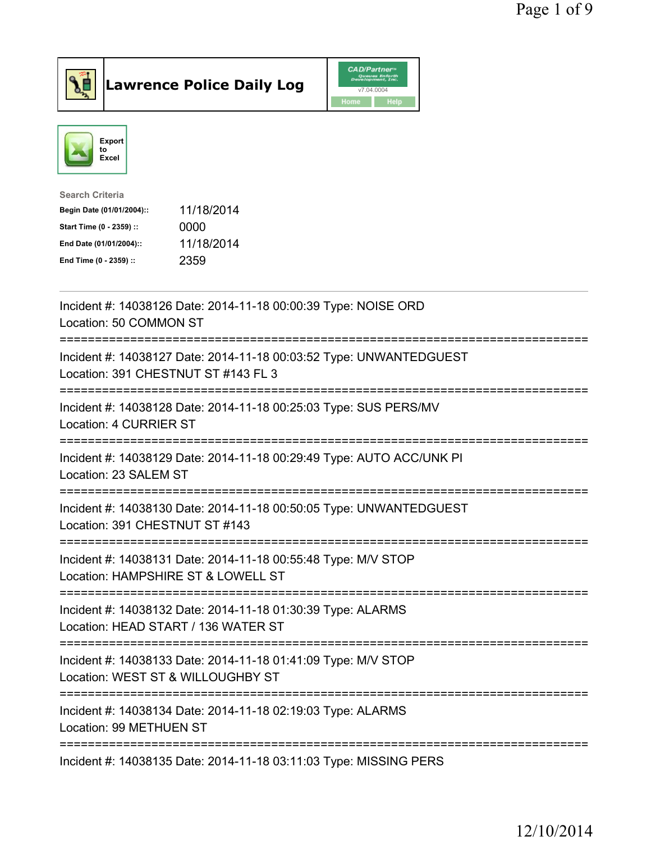



| <b>Search Criteria</b>    |            |
|---------------------------|------------|
| Begin Date (01/01/2004):: | 11/18/2014 |
| Start Time (0 - 2359) ::  | 0000       |
| End Date (01/01/2004)::   | 11/18/2014 |
| End Time (0 - 2359) ::    | 2359       |

| Incident #: 14038126 Date: 2014-11-18 00:00:39 Type: NOISE ORD<br>Location: 50 COMMON ST                   |
|------------------------------------------------------------------------------------------------------------|
| Incident #: 14038127 Date: 2014-11-18 00:03:52 Type: UNWANTEDGUEST<br>Location: 391 CHESTNUT ST #143 FL 3  |
| Incident #: 14038128 Date: 2014-11-18 00:25:03 Type: SUS PERS/MV<br>Location: 4 CURRIER ST                 |
| Incident #: 14038129 Date: 2014-11-18 00:29:49 Type: AUTO ACC/UNK PI<br>Location: 23 SALEM ST              |
| Incident #: 14038130 Date: 2014-11-18 00:50:05 Type: UNWANTEDGUEST<br>Location: 391 CHESTNUT ST #143       |
| Incident #: 14038131 Date: 2014-11-18 00:55:48 Type: M/V STOP<br>Location: HAMPSHIRE ST & LOWELL ST        |
| Incident #: 14038132 Date: 2014-11-18 01:30:39 Type: ALARMS<br>Location: HEAD START / 136 WATER ST         |
| Incident #: 14038133 Date: 2014-11-18 01:41:09 Type: M/V STOP<br>Location: WEST ST & WILLOUGHBY ST         |
| Incident #: 14038134 Date: 2014-11-18 02:19:03 Type: ALARMS<br>Location: 99 METHUEN ST                     |
| =====================================<br>Incident #: 14038135 Date: 2014-11-18 03:11:03 Type: MISSING PERS |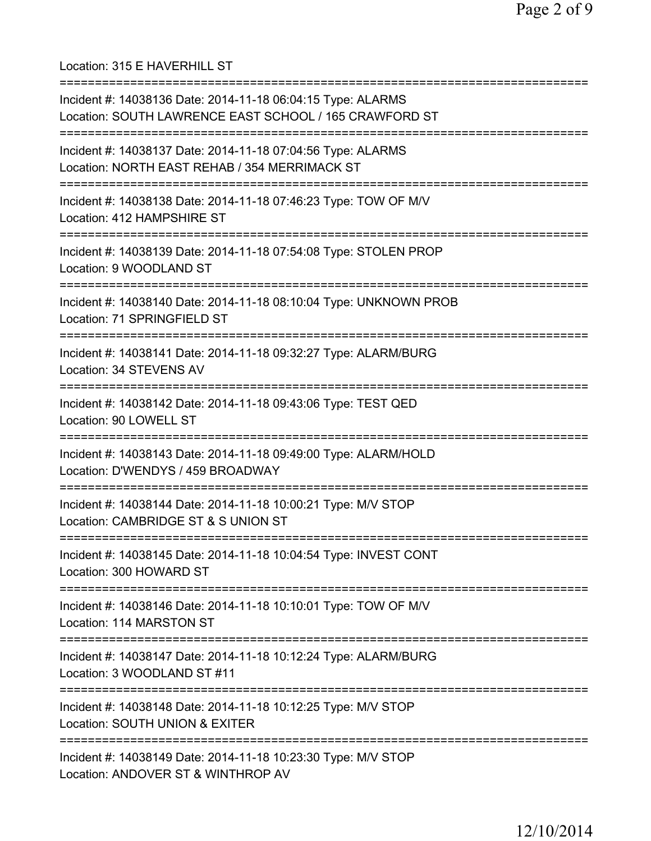Location: 315 E HAVERHILL ST =========================================================================== Incident #: 14038136 Date: 2014-11-18 06:04:15 Type: ALARMS Location: SOUTH LAWRENCE EAST SCHOOL / 165 CRAWFORD ST =========================================================================== Incident #: 14038137 Date: 2014-11-18 07:04:56 Type: ALARMS Location: NORTH EAST REHAB / 354 MERRIMACK ST =========================================================================== Incident #: 14038138 Date: 2014-11-18 07:46:23 Type: TOW OF M/V Location: 412 HAMPSHIRE ST =========================================================================== Incident #: 14038139 Date: 2014-11-18 07:54:08 Type: STOLEN PROP Location: 9 WOODLAND ST =========================================================================== Incident #: 14038140 Date: 2014-11-18 08:10:04 Type: UNKNOWN PROB Location: 71 SPRINGFIELD ST =========================================================================== Incident #: 14038141 Date: 2014-11-18 09:32:27 Type: ALARM/BURG Location: 34 STEVENS AV =========================================================================== Incident #: 14038142 Date: 2014-11-18 09:43:06 Type: TEST QED Location: 90 LOWELL ST =========================================================================== Incident #: 14038143 Date: 2014-11-18 09:49:00 Type: ALARM/HOLD Location: D'WENDYS / 459 BROADWAY =========================================================================== Incident #: 14038144 Date: 2014-11-18 10:00:21 Type: M/V STOP Location: CAMBRIDGE ST & S UNION ST =========================================================================== Incident #: 14038145 Date: 2014-11-18 10:04:54 Type: INVEST CONT Location: 300 HOWARD ST =========================================================================== Incident #: 14038146 Date: 2014-11-18 10:10:01 Type: TOW OF M/V Location: 114 MARSTON ST =========================================================================== Incident #: 14038147 Date: 2014-11-18 10:12:24 Type: ALARM/BURG Location: 3 WOODLAND ST #11 =========================================================================== Incident #: 14038148 Date: 2014-11-18 10:12:25 Type: M/V STOP Location: SOUTH UNION & EXITER =========================================================================== Incident #: 14038149 Date: 2014-11-18 10:23:30 Type: M/V STOP Location: ANDOVER ST & WINTHROP AV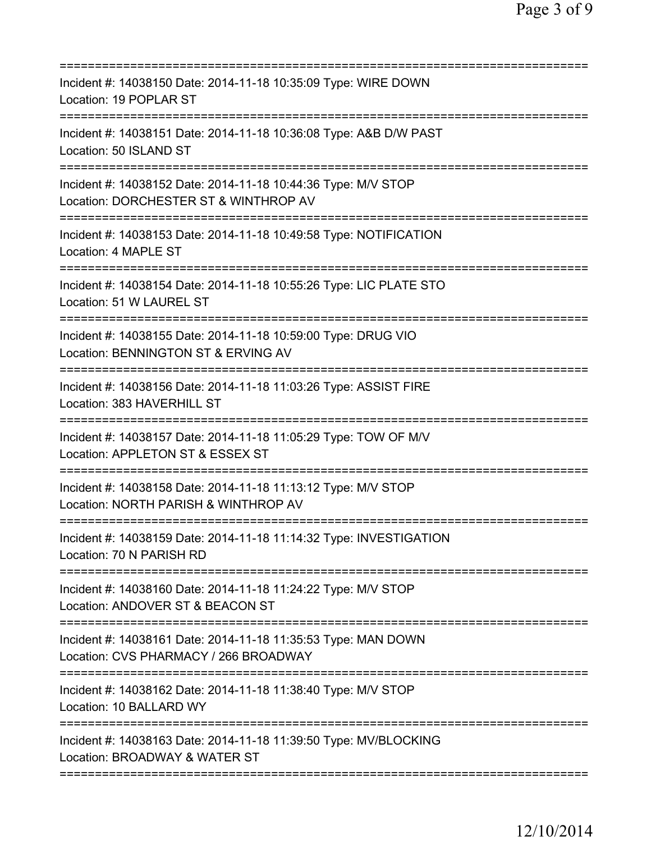| Incident #: 14038150 Date: 2014-11-18 10:35:09 Type: WIRE DOWN<br>Location: 19 POPLAR ST                                         |
|----------------------------------------------------------------------------------------------------------------------------------|
| Incident #: 14038151 Date: 2014-11-18 10:36:08 Type: A&B D/W PAST<br>Location: 50 ISLAND ST                                      |
| Incident #: 14038152 Date: 2014-11-18 10:44:36 Type: M/V STOP<br>Location: DORCHESTER ST & WINTHROP AV                           |
| Incident #: 14038153 Date: 2014-11-18 10:49:58 Type: NOTIFICATION<br>Location: 4 MAPLE ST                                        |
| Incident #: 14038154 Date: 2014-11-18 10:55:26 Type: LIC PLATE STO<br>Location: 51 W LAUREL ST                                   |
| Incident #: 14038155 Date: 2014-11-18 10:59:00 Type: DRUG VIO<br>Location: BENNINGTON ST & ERVING AV                             |
| Incident #: 14038156 Date: 2014-11-18 11:03:26 Type: ASSIST FIRE<br>Location: 383 HAVERHILL ST                                   |
| Incident #: 14038157 Date: 2014-11-18 11:05:29 Type: TOW OF M/V<br>Location: APPLETON ST & ESSEX ST<br>========================= |
| Incident #: 14038158 Date: 2014-11-18 11:13:12 Type: M/V STOP<br>Location: NORTH PARISH & WINTHROP AV                            |
| Incident #: 14038159 Date: 2014-11-18 11:14:32 Type: INVESTIGATION<br>Location: 70 N PARISH RD                                   |
| Incident #: 14038160 Date: 2014-11-18 11:24:22 Type: M/V STOP<br>Location: ANDOVER ST & BEACON ST                                |
| Incident #: 14038161 Date: 2014-11-18 11:35:53 Type: MAN DOWN<br>Location: CVS PHARMACY / 266 BROADWAY                           |
| Incident #: 14038162 Date: 2014-11-18 11:38:40 Type: M/V STOP<br>Location: 10 BALLARD WY                                         |
| Incident #: 14038163 Date: 2014-11-18 11:39:50 Type: MV/BLOCKING<br>Location: BROADWAY & WATER ST                                |
|                                                                                                                                  |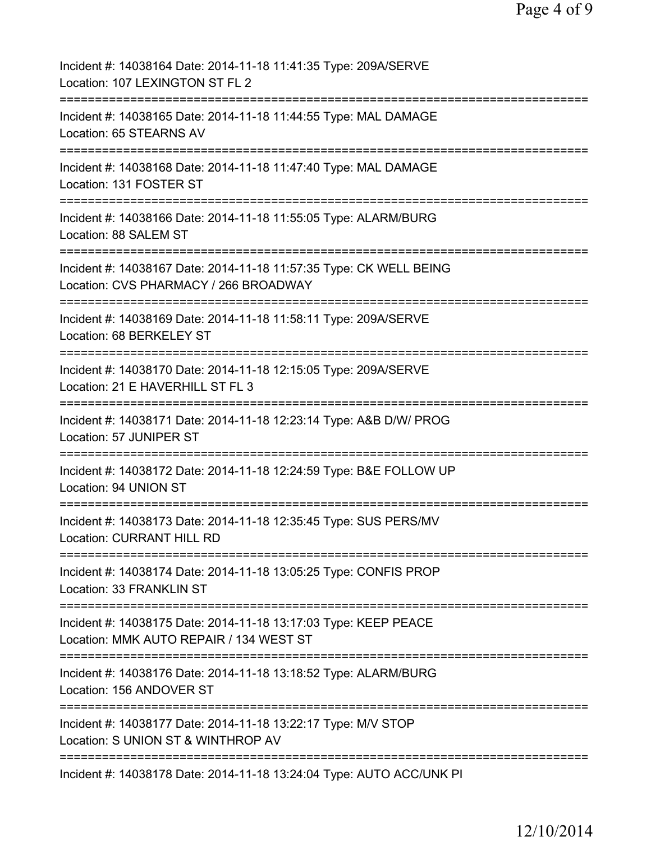| Incident #: 14038164 Date: 2014-11-18 11:41:35 Type: 209A/SERVE<br>Location: 107 LEXINGTON ST FL 2                                                  |
|-----------------------------------------------------------------------------------------------------------------------------------------------------|
| Incident #: 14038165 Date: 2014-11-18 11:44:55 Type: MAL DAMAGE<br>Location: 65 STEARNS AV                                                          |
| Incident #: 14038168 Date: 2014-11-18 11:47:40 Type: MAL DAMAGE<br>Location: 131 FOSTER ST                                                          |
| Incident #: 14038166 Date: 2014-11-18 11:55:05 Type: ALARM/BURG<br>Location: 88 SALEM ST                                                            |
| ====================================<br>Incident #: 14038167 Date: 2014-11-18 11:57:35 Type: CK WELL BEING<br>Location: CVS PHARMACY / 266 BROADWAY |
| ============================<br>Incident #: 14038169 Date: 2014-11-18 11:58:11 Type: 209A/SERVE<br>Location: 68 BERKELEY ST                         |
| Incident #: 14038170 Date: 2014-11-18 12:15:05 Type: 209A/SERVE<br>Location: 21 E HAVERHILL ST FL 3                                                 |
| Incident #: 14038171 Date: 2014-11-18 12:23:14 Type: A&B D/W/ PROG<br>Location: 57 JUNIPER ST                                                       |
| Incident #: 14038172 Date: 2014-11-18 12:24:59 Type: B&E FOLLOW UP<br>Location: 94 UNION ST                                                         |
| Incident #: 14038173 Date: 2014-11-18 12:35:45 Type: SUS PERS/MV<br><b>Location: CURRANT HILL RD</b>                                                |
| Incident #: 14038174 Date: 2014-11-18 13:05:25 Type: CONFIS PROP<br>Location: 33 FRANKLIN ST                                                        |
| Incident #: 14038175 Date: 2014-11-18 13:17:03 Type: KEEP PEACE<br>Location: MMK AUTO REPAIR / 134 WEST ST                                          |
| Incident #: 14038176 Date: 2014-11-18 13:18:52 Type: ALARM/BURG<br>Location: 156 ANDOVER ST                                                         |
| Incident #: 14038177 Date: 2014-11-18 13:22:17 Type: M/V STOP<br>Location: S UNION ST & WINTHROP AV                                                 |
| =============================<br>Incident #: 14038178 Date: 2014-11-18 13:24:04 Type: AUTO ACC/UNK PI                                               |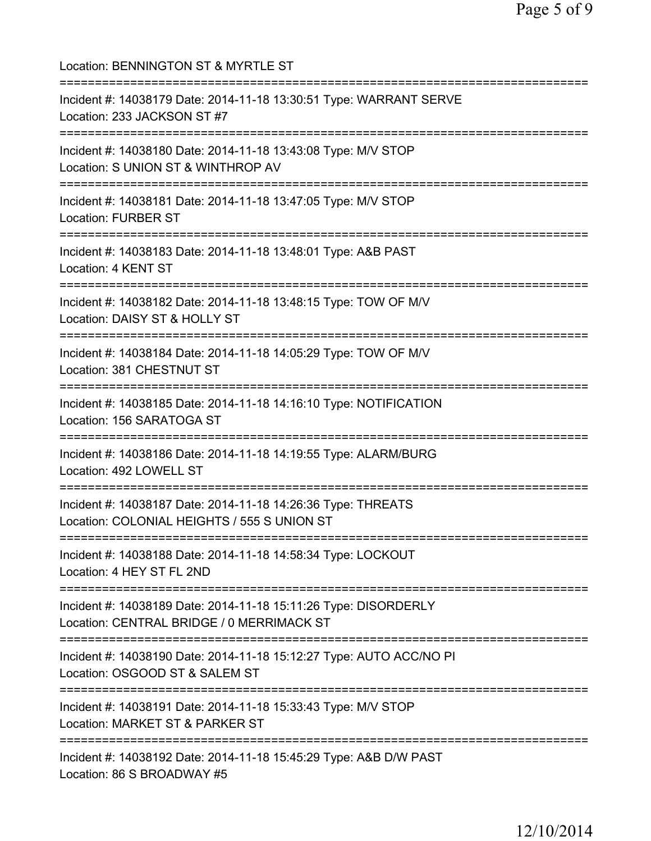| Location: BENNINGTON ST & MYRTLE ST                                                                                                                                      |
|--------------------------------------------------------------------------------------------------------------------------------------------------------------------------|
| Incident #: 14038179 Date: 2014-11-18 13:30:51 Type: WARRANT SERVE<br>Location: 233 JACKSON ST #7<br>=========================                                           |
| Incident #: 14038180 Date: 2014-11-18 13:43:08 Type: M/V STOP<br>Location: S UNION ST & WINTHROP AV                                                                      |
| Incident #: 14038181 Date: 2014-11-18 13:47:05 Type: M/V STOP<br><b>Location: FURBER ST</b>                                                                              |
| ;==========================<br>Incident #: 14038183 Date: 2014-11-18 13:48:01 Type: A&B PAST<br>Location: 4 KENT ST                                                      |
| ===========================<br>Incident #: 14038182 Date: 2014-11-18 13:48:15 Type: TOW OF M/V<br>Location: DAISY ST & HOLLY ST<br>.==================================== |
| Incident #: 14038184 Date: 2014-11-18 14:05:29 Type: TOW OF M/V<br>Location: 381 CHESTNUT ST                                                                             |
| Incident #: 14038185 Date: 2014-11-18 14:16:10 Type: NOTIFICATION<br>Location: 156 SARATOGA ST                                                                           |
| Incident #: 14038186 Date: 2014-11-18 14:19:55 Type: ALARM/BURG<br>Location: 492 LOWELL ST                                                                               |
| Incident #: 14038187 Date: 2014-11-18 14:26:36 Type: THREATS<br>Location: COLONIAL HEIGHTS / 555 S UNION ST                                                              |
| ;===================================<br>Incident #: 14038188 Date: 2014-11-18 14:58:34 Type: LOCKOUT<br>Location: 4 HEY ST FL 2ND                                        |
| Incident #: 14038189 Date: 2014-11-18 15:11:26 Type: DISORDERLY<br>Location: CENTRAL BRIDGE / 0 MERRIMACK ST                                                             |
| Incident #: 14038190 Date: 2014-11-18 15:12:27 Type: AUTO ACC/NO PI<br>Location: OSGOOD ST & SALEM ST                                                                    |
| Incident #: 14038191 Date: 2014-11-18 15:33:43 Type: M/V STOP<br>Location: MARKET ST & PARKER ST                                                                         |
| :=============<br>Incident #: 14038192 Date: 2014-11-18 15:45:29 Type: A&B D/W PAST<br>Location: 86 S BROADWAY #5                                                        |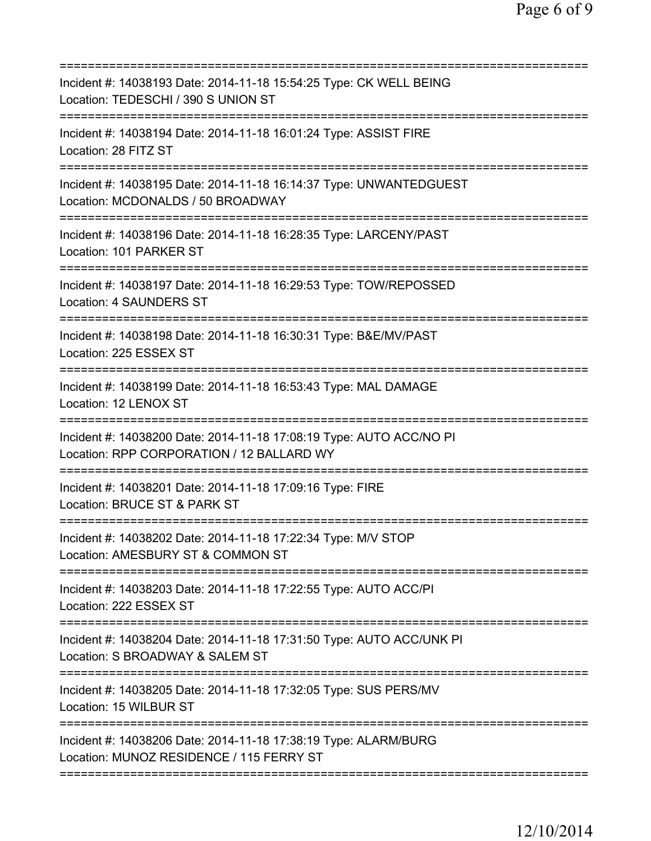| Incident #: 14038193 Date: 2014-11-18 15:54:25 Type: CK WELL BEING<br>Location: TEDESCHI / 390 S UNION ST                          |
|------------------------------------------------------------------------------------------------------------------------------------|
| Incident #: 14038194 Date: 2014-11-18 16:01:24 Type: ASSIST FIRE<br>Location: 28 FITZ ST                                           |
| Incident #: 14038195 Date: 2014-11-18 16:14:37 Type: UNWANTEDGUEST<br>Location: MCDONALDS / 50 BROADWAY                            |
| Incident #: 14038196 Date: 2014-11-18 16:28:35 Type: LARCENY/PAST<br>Location: 101 PARKER ST                                       |
| Incident #: 14038197 Date: 2014-11-18 16:29:53 Type: TOW/REPOSSED<br><b>Location: 4 SAUNDERS ST</b>                                |
| ====================<br>Incident #: 14038198 Date: 2014-11-18 16:30:31 Type: B&E/MV/PAST<br>Location: 225 ESSEX ST                 |
| Incident #: 14038199 Date: 2014-11-18 16:53:43 Type: MAL DAMAGE<br>Location: 12 LENOX ST                                           |
| Incident #: 14038200 Date: 2014-11-18 17:08:19 Type: AUTO ACC/NO PI<br>Location: RPP CORPORATION / 12 BALLARD WY                   |
| Incident #: 14038201 Date: 2014-11-18 17:09:16 Type: FIRE<br>Location: BRUCE ST & PARK ST                                          |
| Incident #: 14038202 Date: 2014-11-18 17:22:34 Type: M/V STOP<br>Location: AMESBURY ST & COMMON ST                                 |
| ;===================================<br>Incident #: 14038203 Date: 2014-11-18 17:22:55 Type: AUTO ACC/PI<br>Location: 222 ESSEX ST |
| Incident #: 14038204 Date: 2014-11-18 17:31:50 Type: AUTO ACC/UNK PI<br>Location: S BROADWAY & SALEM ST                            |
| Incident #: 14038205 Date: 2014-11-18 17:32:05 Type: SUS PERS/MV<br>Location: 15 WILBUR ST                                         |
| Incident #: 14038206 Date: 2014-11-18 17:38:19 Type: ALARM/BURG<br>Location: MUNOZ RESIDENCE / 115 FERRY ST                        |
|                                                                                                                                    |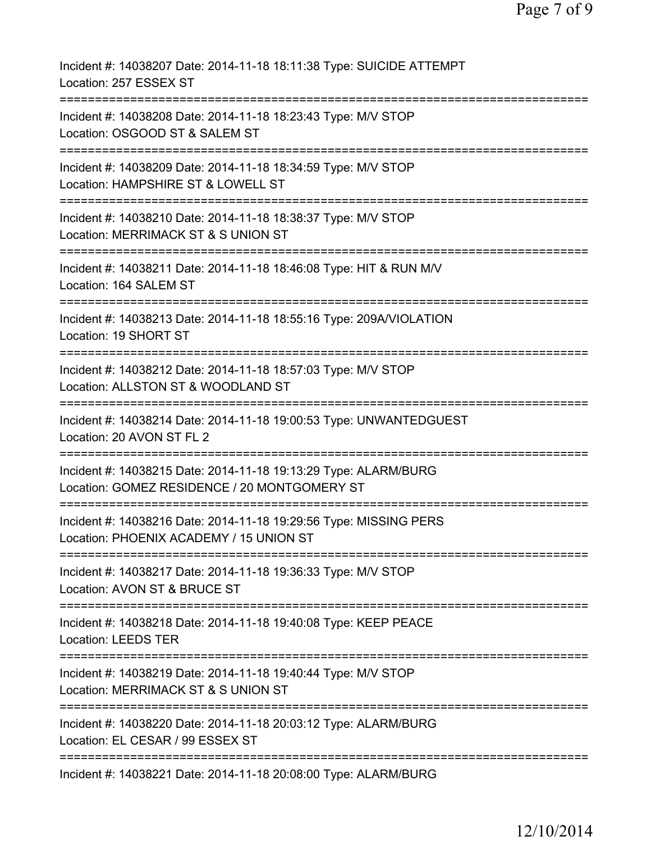| Incident #: 14038207 Date: 2014-11-18 18:11:38 Type: SUICIDE ATTEMPT<br>Location: 257 ESSEX ST                                                           |
|----------------------------------------------------------------------------------------------------------------------------------------------------------|
| Incident #: 14038208 Date: 2014-11-18 18:23:43 Type: M/V STOP<br>Location: OSGOOD ST & SALEM ST                                                          |
| Incident #: 14038209 Date: 2014-11-18 18:34:59 Type: M/V STOP<br>Location: HAMPSHIRE ST & LOWELL ST                                                      |
| Incident #: 14038210 Date: 2014-11-18 18:38:37 Type: M/V STOP<br>Location: MERRIMACK ST & S UNION ST                                                     |
| Incident #: 14038211 Date: 2014-11-18 18:46:08 Type: HIT & RUN M/V<br>Location: 164 SALEM ST                                                             |
| Incident #: 14038213 Date: 2014-11-18 18:55:16 Type: 209A/VIOLATION<br>Location: 19 SHORT ST                                                             |
| Incident #: 14038212 Date: 2014-11-18 18:57:03 Type: M/V STOP<br>Location: ALLSTON ST & WOODLAND ST                                                      |
| Incident #: 14038214 Date: 2014-11-18 19:00:53 Type: UNWANTEDGUEST<br>Location: 20 AVON ST FL 2                                                          |
| :====================================<br>Incident #: 14038215 Date: 2014-11-18 19:13:29 Type: ALARM/BURG<br>Location: GOMEZ RESIDENCE / 20 MONTGOMERY ST |
| =========================<br>Incident #: 14038216 Date: 2014-11-18 19:29:56 Type: MISSING PERS<br>Location: PHOENIX ACADEMY / 15 UNION ST                |
| Incident #: 14038217 Date: 2014-11-18 19:36:33 Type: M/V STOP<br>Location: AVON ST & BRUCE ST                                                            |
| Incident #: 14038218 Date: 2014-11-18 19:40:08 Type: KEEP PEACE<br><b>Location: LEEDS TER</b>                                                            |
| Incident #: 14038219 Date: 2014-11-18 19:40:44 Type: M/V STOP<br>Location: MERRIMACK ST & S UNION ST                                                     |
| Incident #: 14038220 Date: 2014-11-18 20:03:12 Type: ALARM/BURG<br>Location: EL CESAR / 99 ESSEX ST                                                      |
| Incident #: 14038221 Date: 2014-11-18 20:08:00 Type: ALARM/BURG                                                                                          |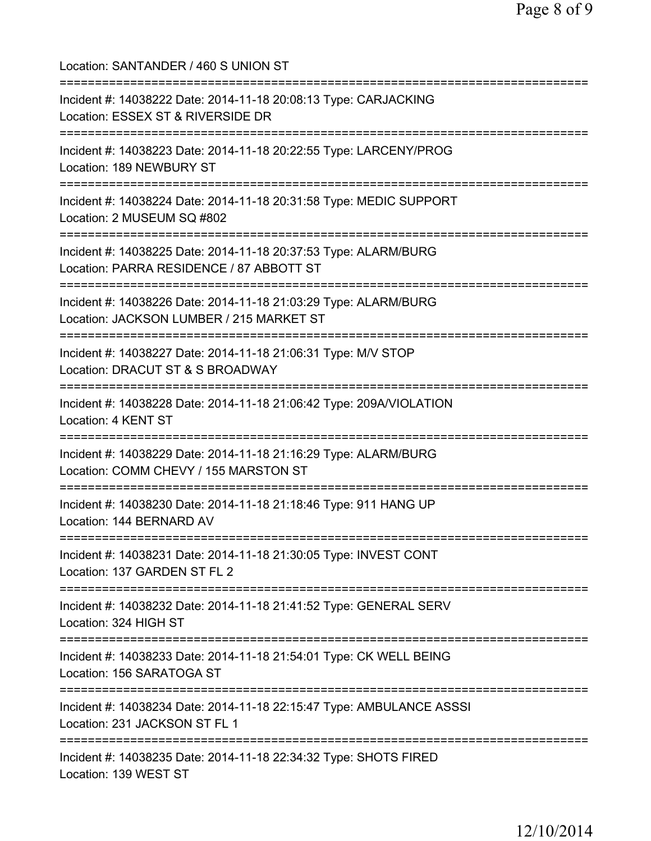Location: SANTANDER / 460 S UNION ST =========================================================================== Incident #: 14038222 Date: 2014-11-18 20:08:13 Type: CARJACKING Location: ESSEX ST & RIVERSIDE DR =========================================================================== Incident #: 14038223 Date: 2014-11-18 20:22:55 Type: LARCENY/PROG Location: 189 NEWBURY ST =========================================================================== Incident #: 14038224 Date: 2014-11-18 20:31:58 Type: MEDIC SUPPORT Location: 2 MUSEUM SQ #802 =========================================================================== Incident #: 14038225 Date: 2014-11-18 20:37:53 Type: ALARM/BURG Location: PARRA RESIDENCE / 87 ABBOTT ST =========================================================================== Incident #: 14038226 Date: 2014-11-18 21:03:29 Type: ALARM/BURG Location: JACKSON LUMBER / 215 MARKET ST =========================================================================== Incident #: 14038227 Date: 2014-11-18 21:06:31 Type: M/V STOP Location: DRACUT ST & S BROADWAY =========================================================================== Incident #: 14038228 Date: 2014-11-18 21:06:42 Type: 209A/VIOLATION Location: 4 KENT ST =========================================================================== Incident #: 14038229 Date: 2014-11-18 21:16:29 Type: ALARM/BURG Location: COMM CHEVY / 155 MARSTON ST =========================================================================== Incident #: 14038230 Date: 2014-11-18 21:18:46 Type: 911 HANG UP Location: 144 BERNARD AV =========================================================================== Incident #: 14038231 Date: 2014-11-18 21:30:05 Type: INVEST CONT Location: 137 GARDEN ST FL 2 =========================================================================== Incident #: 14038232 Date: 2014-11-18 21:41:52 Type: GENERAL SERV Location: 324 HIGH ST =========================================================================== Incident #: 14038233 Date: 2014-11-18 21:54:01 Type: CK WELL BEING Location: 156 SARATOGA ST =========================================================================== Incident #: 14038234 Date: 2014-11-18 22:15:47 Type: AMBULANCE ASSSI Location: 231 JACKSON ST FL 1 =========================================================================== Incident #: 14038235 Date: 2014-11-18 22:34:32 Type: SHOTS FIRED Location: 139 WEST ST